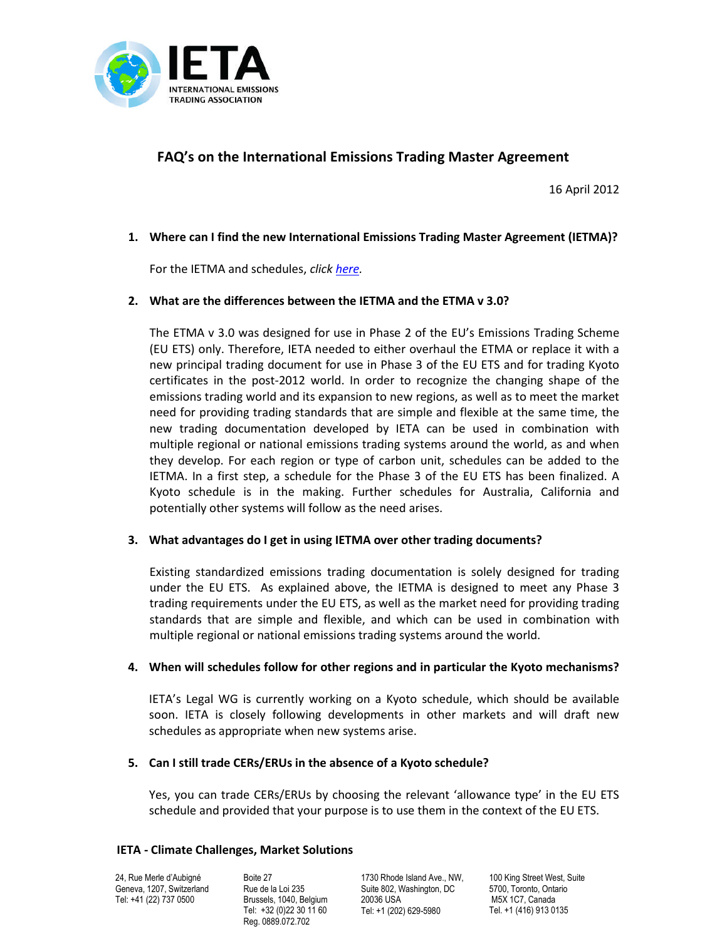

# **FAQ's on the International Emissions Trading Master Agreement**

16 April 2012

### **1. Where can I find the new International Emissions Trading Master Agreement (IETMA)?**

For the IETMA and schedules, *click [here.](http://www.ieta.org/trading-documents)*

### **2. What are the differences between the IETMA and the ETMA v 3.0?**

The ETMA v 3.0 was designed for use in Phase 2 of the EU's Emissions Trading Scheme (EU ETS) only. Therefore, IETA needed to either overhaul the ETMA or replace it with a new principal trading document for use in Phase 3 of the EU ETS and for trading Kyoto certificates in the post-2012 world. In order to recognize the changing shape of the emissions trading world and its expansion to new regions, as well as to meet the market need for providing trading standards that are simple and flexible at the same time, the new trading documentation developed by IETA can be used in combination with multiple regional or national emissions trading systems around the world, as and when they develop. For each region or type of carbon unit, schedules can be added to the IETMA. In a first step, a schedule for the Phase 3 of the EU ETS has been finalized. A Kyoto schedule is in the making. Further schedules for Australia, California and potentially other systems will follow as the need arises.

### **3. What advantages do I get in using IETMA over other trading documents?**

Existing standardized emissions trading documentation is solely designed for trading under the EU ETS. As explained above, the IETMA is designed to meet any Phase 3 trading requirements under the EU ETS, as well as the market need for providing trading standards that are simple and flexible, and which can be used in combination with multiple regional or national emissions trading systems around the world.

### **4. When will schedules follow for other regions and in particular the Kyoto mechanisms?**

IETA's Legal WG is currently working on a Kyoto schedule, which should be available soon. IETA is closely following developments in other markets and will draft new schedules as appropriate when new systems arise.

### **5. Can I still trade CERs/ERUs in the absence of a Kyoto schedule?**

Yes, you can trade CERs/ERUs by choosing the relevant 'allowance type' in the EU ETS schedule and provided that your purpose is to use them in the context of the EU ETS.

### **IETA - Climate Challenges, Market Solutions**

24, Rue Merle d'Aubigné Geneva, 1207, Switzerland Tel: +41 (22) 737 0500

Boite 27 Rue de la Loi 235 Brussels, 1040, Belgium Tel: +32 (0)22 30 11 60 Reg. 0889.072.702

1730 Rhode Island Ave., NW Suite 802, Washington, DC 20036 USA Tel: +1 (202) 629-5980

100 King Street West, Suite 5700, Toronto, Ontario M5X 1C7, Canada Tel. +1 (416) 913 0135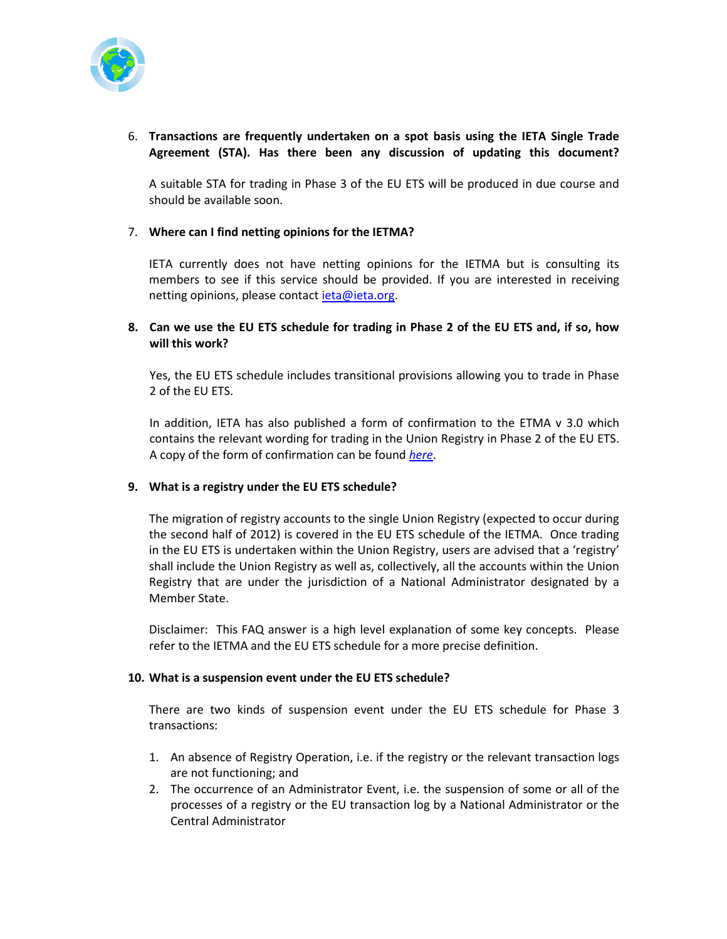

## 6. **Transactions are frequently undertaken on a spot basis using the IETA Single Trade Agreement (STA). Has there been any discussion of updating this document?**

A suitable STA for trading in Phase 3 of the EU ETS will be produced in due course and should be available soon.

## 7. **Where can I find netting opinions for the IETMA?**

IETA currently does not have netting opinions for the IETMA but is consulting its members to see if this service should be provided. If you are interested in receiving netting opinions, please contact *ieta@ieta.org*.

## **8. Can we use the EU ETS schedule for trading in Phase 2 of the EU ETS and, if so, how will this work?**

Yes, the EU ETS schedule includes transitional provisions allowing you to trade in Phase 2 of the EU ETS.

In addition, IETA has also published a form of confirmation to the ETMA v 3.0 which contains the relevant wording for trading in the Union Registry in Phase 2 of the EU ETS. A copy of the form of confirmation can be found *[here](http://www.ieta.org/assets/Legal-WG/IETMARELEASEAPRIL2012/uk-2948519-v4-ietma%20phase%203%20confirmation.doc)*.

## **9. What is a registry under the EU ETS schedule?**

The migration of registry accounts to the single Union Registry (expected to occur during the second half of 2012) is covered in the EU ETS schedule of the IETMA. Once trading in the EU ETS is undertaken within the Union Registry, users are advised that a 'registry' shall include the Union Registry as well as, collectively, all the accounts within the Union Registry that are under the jurisdiction of a National Administrator designated by a Member State.

Disclaimer: This FAQ answer is a high level explanation of some key concepts. Please refer to the IETMA and the EU ETS schedule for a more precise definition.

### **10. What is a suspension event under the EU ETS schedule?**

There are two kinds of suspension event under the EU ETS schedule for Phase 3 transactions:

- 1. An absence of Registry Operation, i.e. if the registry or the relevant transaction logs are not functioning; and
- 2. The occurrence of an Administrator Event, i.e. the suspension of some or all of the processes of a registry or the EU transaction log by a National Administrator or the Central Administrator